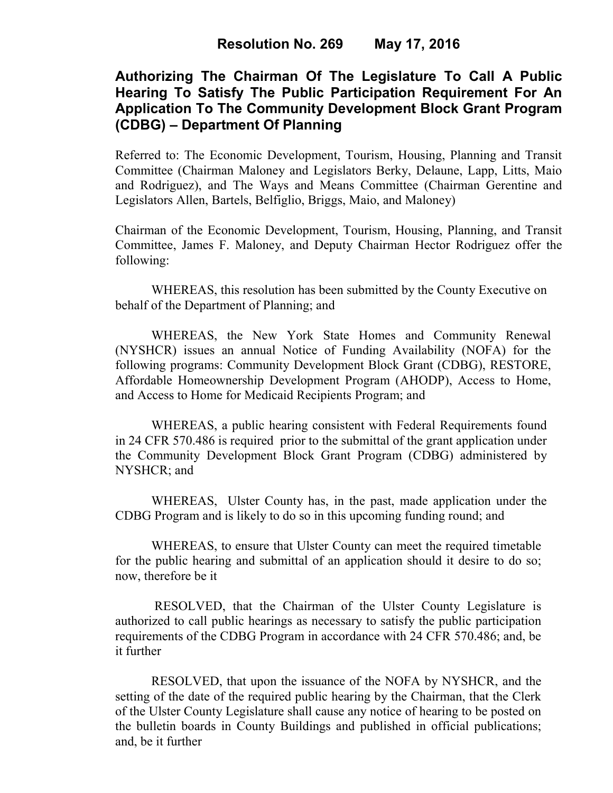# **Authorizing The Chairman Of The Legislature To Call A Public Hearing To Satisfy The Public Participation Requirement For An Application To The Community Development Block Grant Program (CDBG) – Department Of Planning**

Referred to: The Economic Development, Tourism, Housing, Planning and Transit Committee (Chairman Maloney and Legislators Berky, Delaune, Lapp, Litts, Maio and Rodriguez), and The Ways and Means Committee (Chairman Gerentine and Legislators Allen, Bartels, Belfiglio, Briggs, Maio, and Maloney)

Chairman of the Economic Development, Tourism, Housing, Planning, and Transit Committee, James F. Maloney, and Deputy Chairman Hector Rodriguez offer the following:

WHEREAS, this resolution has been submitted by the County Executive on behalf of the Department of Planning; and

WHEREAS, the New York State Homes and Community Renewal (NYSHCR) issues an annual Notice of Funding Availability (NOFA) for the following programs: Community Development Block Grant (CDBG), RESTORE, Affordable Homeownership Development Program (AHODP), Access to Home, and Access to Home for Medicaid Recipients Program; and

WHEREAS, a public hearing consistent with Federal Requirements found in 24 CFR 570.486 is required prior to the submittal of the grant application under the Community Development Block Grant Program (CDBG) administered by NYSHCR; and

WHEREAS, Ulster County has, in the past, made application under the CDBG Program and is likely to do so in this upcoming funding round; and

WHEREAS, to ensure that Ulster County can meet the required timetable for the public hearing and submittal of an application should it desire to do so; now, therefore be it

 RESOLVED, that the Chairman of the Ulster County Legislature is authorized to call public hearings as necessary to satisfy the public participation requirements of the CDBG Program in accordance with 24 CFR 570.486; and, be it further

RESOLVED, that upon the issuance of the NOFA by NYSHCR, and the setting of the date of the required public hearing by the Chairman, that the Clerk of the Ulster County Legislature shall cause any notice of hearing to be posted on the bulletin boards in County Buildings and published in official publications; and, be it further